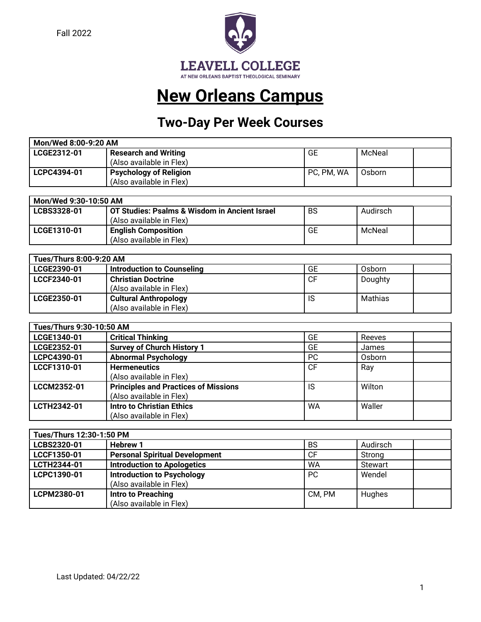Fall 2022



## **New Orleans Campus**

## **Two-Day Per Week Courses**

| Mon/Wed 8:00-9:20 AM |                               |            |        |  |
|----------------------|-------------------------------|------------|--------|--|
| LCGE2312-01          | <b>Research and Writing</b>   | GE         | McNeal |  |
|                      | (Also available in Flex)      |            |        |  |
| LCPC4394-01          | <b>Psychology of Religion</b> | PC, PM, WA | Osborn |  |
|                      | (Also available in Flex)      |            |        |  |

| Mon/Wed 9:30-10:50 AM |                                               |           |          |  |
|-----------------------|-----------------------------------------------|-----------|----------|--|
| LCBS3328-01           | OT Studies: Psalms & Wisdom in Ancient Israel | <b>BS</b> | Audirsch |  |
|                       | (Also available in Flex)                      |           |          |  |
| LCGE1310-01           | <b>English Composition</b>                    | GE        | McNeal   |  |
|                       | (Also available in Flex)                      |           |          |  |

| Tues/Thurs 8:00-9:20 AM |                                                          |           |         |
|-------------------------|----------------------------------------------------------|-----------|---------|
| LCGE2390-01             | Introduction to Counseling                               | <b>GE</b> | Osborn  |
| LCCF2340-01             | <b>Christian Doctrine</b><br>(Also available in Flex)    | <b>CF</b> | Doughty |
| LCGE2350-01             | <b>Cultural Anthropology</b><br>(Also available in Flex) | IS        | Mathias |

| Tues/Thurs 9:30-10:50 AM |                                             |           |        |  |
|--------------------------|---------------------------------------------|-----------|--------|--|
| LCGE1340-01              | <b>Critical Thinking</b>                    | GE        | Reeves |  |
| LCGE2352-01              | <b>Survey of Church History 1</b>           | GE        | James  |  |
| LCPC4390-01              | <b>Abnormal Psychology</b>                  | <b>PC</b> | Osborn |  |
| LCCF1310-01              | <b>Hermeneutics</b>                         | <b>CF</b> | Ray    |  |
|                          | (Also available in Flex)                    |           |        |  |
| LCCM2352-01              | <b>Principles and Practices of Missions</b> | IS        | Wilton |  |
|                          | (Also available in Flex)                    |           |        |  |
| LCTH2342-01              | <b>Intro to Christian Ethics</b>            | <b>WA</b> | Waller |  |
|                          | (Also available in Flex)                    |           |        |  |

| Tues/Thurs 12:30-1:50 PM |                                       |           |                |  |
|--------------------------|---------------------------------------|-----------|----------------|--|
| LCBS2320-01              | <b>Hebrew 1</b>                       | <b>BS</b> | Audirsch       |  |
| LCCF1350-01              | <b>Personal Spiritual Development</b> | СF        | Strong         |  |
| LCTH2344-01              | <b>Introduction to Apologetics</b>    | WA        | <b>Stewart</b> |  |
| LCPC1390-01              | <b>Introduction to Psychology</b>     | <b>PC</b> | Wendel         |  |
|                          | (Also available in Flex)              |           |                |  |
| LCPM2380-01              | Intro to Preaching                    | CM. PM    | Hughes         |  |
|                          | (Also available in Flex)              |           |                |  |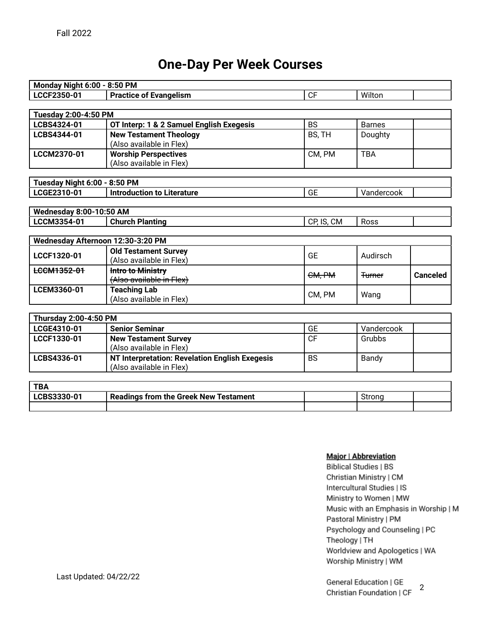### **One-Day Per Week Courses**

| <b>Monday Night 6:00 - 8:50 PM</b> |                                                |            |                   |                 |
|------------------------------------|------------------------------------------------|------------|-------------------|-----------------|
| LCCF2350-01                        | <b>Practice of Evangelism</b>                  | <b>CF</b>  | Wilton            |                 |
|                                    |                                                |            |                   |                 |
| <b>Tuesday 2:00-4:50 PM</b>        |                                                |            |                   |                 |
| LCBS4324-01                        | OT Interp: 1 & 2 Samuel English Exegesis       | <b>BS</b>  | <b>Barnes</b>     |                 |
| LCBS4344-01                        | <b>New Testament Theology</b>                  | BS, TH     | Doughty           |                 |
|                                    | (Also available in Flex)                       |            |                   |                 |
| LCCM2370-01                        | <b>Worship Perspectives</b>                    | CM, PM     | <b>TBA</b>        |                 |
|                                    | (Also available in Flex)                       |            |                   |                 |
|                                    |                                                |            |                   |                 |
| Tuesday Night 6:00 - 8:50 PM       |                                                |            |                   |                 |
| LCGE2310-01                        | <b>Introduction to Literature</b>              | <b>GE</b>  | Vandercook        |                 |
|                                    |                                                |            |                   |                 |
| <b>Wednesday 8:00-10:50 AM</b>     |                                                |            |                   |                 |
| LCCM3354-01                        | <b>Church Planting</b>                         | CP, IS, CM | Ross              |                 |
|                                    |                                                |            |                   |                 |
| Wednesday Afternoon 12:30-3:20 PM  |                                                |            |                   |                 |
| LCCF1320-01                        | <b>Old Testament Survey</b>                    | <b>GE</b>  | Audirsch          |                 |
|                                    | (Also available in Flex)                       |            |                   |                 |
| <b>LCCM1352-01</b>                 | Intro to Ministry                              | CM, PM     | <del>Turner</del> | <b>Canceled</b> |
|                                    | (Also available in Flex)                       |            |                   |                 |
| LCEM3360-01                        | <b>Teaching Lab</b>                            | CM, PM     | Wang              |                 |
|                                    | (Also available in Flex)                       |            |                   |                 |
|                                    |                                                |            |                   |                 |
| Thursday 2:00-4:50 PM              |                                                |            |                   |                 |
| LCGE4310-01                        | <b>Senior Seminar</b>                          | <b>GE</b>  | Vandercook        |                 |
| LCCF1330-01                        | <b>New Testament Survey</b>                    | <b>CF</b>  | Grubbs            |                 |
|                                    | (Also available in Flex)                       |            |                   |                 |
| LCBS4336-01                        | NT Interpretation: Revelation English Exegesis | <b>BS</b>  | Bandy             |                 |
|                                    | (Also available in Flex)                       |            |                   |                 |

| TD/<br>D/   |                                              |        |  |
|-------------|----------------------------------------------|--------|--|
| LCBS3330-01 | <b>Readings from the Greek New Testament</b> | Stronc |  |
|             |                                              |        |  |

#### Major | Abbreviation

**Biblical Studies | BS** Christian Ministry | CM Intercultural Studies | IS Ministry to Women | MW Music with an Emphasis in Worship | M Pastoral Ministry | PM Psychology and Counseling | PC Theology | TH Worldview and Apologetics | WA Worship Ministry | WM

General Education | GE 2Christian Foundation | CF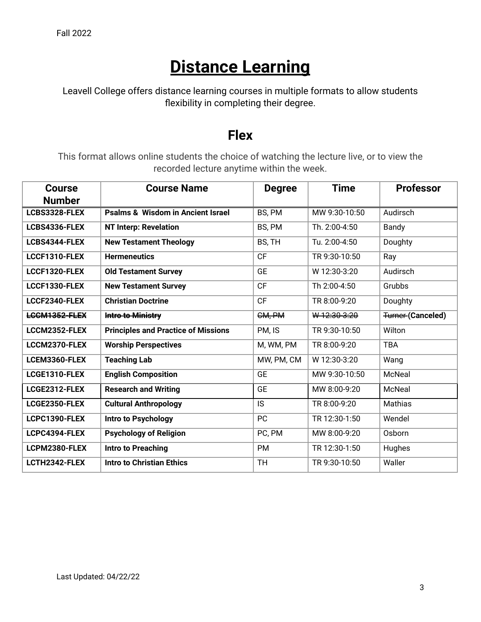# **Distance Learning**

Leavell College offers distance learning courses in multiple formats to allow students flexibility in completing their degree.

### **Flex**

This format allows online students the choice of watching the lecture live, or to view the recorded lecture anytime within the week.

| <b>Course</b> | <b>Course Name</b>                           | <b>Degree</b> | <b>Time</b>   | <b>Professor</b>         |
|---------------|----------------------------------------------|---------------|---------------|--------------------------|
| <b>Number</b> |                                              |               |               |                          |
| LCBS3328-FLEX | <b>Psalms &amp; Wisdom in Ancient Israel</b> | BS, PM        | MW 9:30-10:50 | Audirsch                 |
| LCBS4336-FLEX | <b>NT Interp: Revelation</b>                 | BS, PM        | Th. 2:00-4:50 | Bandy                    |
| LCBS4344-FLEX | <b>New Testament Theology</b>                | BS, TH        | Tu. 2:00-4:50 | Doughty                  |
| LCCF1310-FLEX | <b>Hermeneutics</b>                          | <b>CF</b>     | TR 9:30-10:50 | Ray                      |
| LCCF1320-FLEX | <b>Old Testament Survey</b>                  | <b>GE</b>     | W 12:30-3:20  | Audirsch                 |
| LCCF1330-FLEX | <b>New Testament Survey</b>                  | <b>CF</b>     | Th 2:00-4:50  | Grubbs                   |
| LCCF2340-FLEX | <b>Christian Doctrine</b>                    | <b>CF</b>     | TR 8:00-9:20  | Doughty                  |
| LCCM1352-FLEX | Intro to Ministry                            | CM, PM        | W12:30-3:20   | <b>Turner-(Canceled)</b> |
| LCCM2352-FLEX | <b>Principles and Practice of Missions</b>   | PM, IS        | TR 9:30-10:50 | Wilton                   |
| LCCM2370-FLEX | <b>Worship Perspectives</b>                  | M, WM, PM     | TR 8:00-9:20  | <b>TBA</b>               |
| LCEM3360-FLEX | <b>Teaching Lab</b>                          | MW, PM, CM    | W 12:30-3:20  | Wang                     |
| LCGE1310-FLEX | <b>English Composition</b>                   | <b>GE</b>     | MW 9:30-10:50 | McNeal                   |
| LCGE2312-FLEX | <b>Research and Writing</b>                  | <b>GE</b>     | MW 8:00-9:20  | McNeal                   |
| LCGE2350-FLEX | <b>Cultural Anthropology</b>                 | IS            | TR 8:00-9:20  | Mathias                  |
| LCPC1390-FLEX | Intro to Psychology                          | PC            | TR 12:30-1:50 | Wendel                   |
| LCPC4394-FLEX | <b>Psychology of Religion</b>                | PC, PM        | MW 8:00-9:20  | Osborn                   |
| LCPM2380-FLEX | Intro to Preaching                           | PM            | TR 12:30-1:50 | Hughes                   |
| LCTH2342-FLEX | <b>Intro to Christian Ethics</b>             | <b>TH</b>     | TR 9:30-10:50 | Waller                   |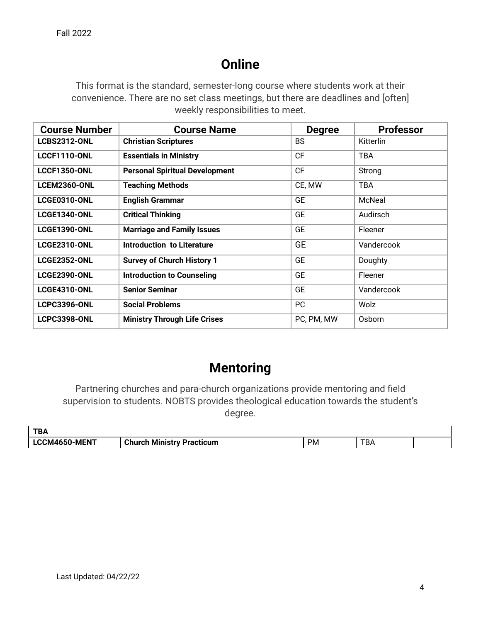## **Online**

This format is the standard, semester-long course where students work at their convenience. There are no set class meetings, but there are deadlines and [often] weekly responsibilities to meet.

| <b>Course Number</b> | <b>Course Name</b>                    | <b>Degree</b> | <b>Professor</b> |
|----------------------|---------------------------------------|---------------|------------------|
| <b>LCBS2312-ONL</b>  | <b>Christian Scriptures</b>           | <b>BS</b>     | Kitterlin        |
| <b>LCCF1110-ONL</b>  | <b>Essentials in Ministry</b>         | <b>CF</b>     | <b>TBA</b>       |
| <b>LCCF1350-ONL</b>  | <b>Personal Spiritual Development</b> | <b>CF</b>     | Strong           |
| <b>LCEM2360-ONL</b>  | <b>Teaching Methods</b>               | CE, MW        | <b>TBA</b>       |
| LCGE0310-ONL         | <b>English Grammar</b>                | <b>GE</b>     | McNeal           |
| <b>LCGE1340-ONL</b>  | <b>Critical Thinking</b>              | <b>GE</b>     | Audirsch         |
| <b>LCGE1390-ONL</b>  | <b>Marriage and Family Issues</b>     | <b>GE</b>     | Fleener          |
| <b>LCGE2310-ONL</b>  | <b>Introduction to Literature</b>     | <b>GE</b>     | Vandercook       |
| <b>LCGE2352-ONL</b>  | <b>Survey of Church History 1</b>     | <b>GE</b>     | Doughty          |
| <b>LCGE2390-ONL</b>  | <b>Introduction to Counseling</b>     | <b>GE</b>     | Fleener          |
| <b>LCGE4310-ONL</b>  | <b>Senior Seminar</b>                 | <b>GE</b>     | Vandercook       |
| <b>LCPC3396-ONL</b>  | <b>Social Problems</b>                | PC.           | Wolz             |
| <b>LCPC3398-ONL</b>  | <b>Ministry Through Life Crises</b>   | PC, PM, MW    | Osborn           |

### **Mentoring**

Partnering churches and para-church organizations provide mentoring and field supervision to students. NOBTS provides theological education towards the student's degree.

| <b>TBA</b>    |                                 |    |                   |  |
|---------------|---------------------------------|----|-------------------|--|
| LCCM4650-MENT | Church.<br>ا Ministry Practicum | PM | <b>TD</b><br>' DA |  |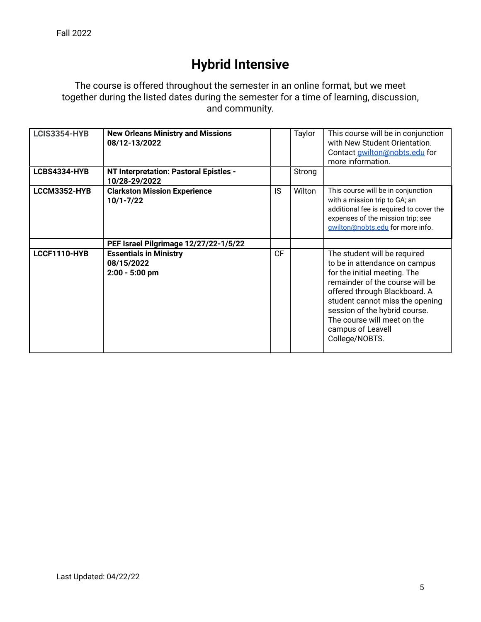## **Hybrid Intensive**

The course is offered throughout the semester in an online format, but we meet together during the listed dates during the semester for a time of learning, discussion, and community.

| <b>LCIS3354-HYB</b> | <b>New Orleans Ministry and Missions</b><br>08/12-13/2022       |           | Taylor | This course will be in conjunction<br>with New Student Orientation.<br>Contact <b>gwilton@nobts.edu</b> for<br>more information.                                                                                                                                                                            |
|---------------------|-----------------------------------------------------------------|-----------|--------|-------------------------------------------------------------------------------------------------------------------------------------------------------------------------------------------------------------------------------------------------------------------------------------------------------------|
| LCBS4334-HYB        | NT Interpretation: Pastoral Epistles -<br>10/28-29/2022         |           | Strong |                                                                                                                                                                                                                                                                                                             |
| LCCM3352-HYB        | <b>Clarkston Mission Experience</b><br>$10/1 - 7/22$            | IS.       | Wilton | This course will be in conjunction<br>with a mission trip to GA; an<br>additional fee is required to cover the<br>expenses of the mission trip; see<br>gwilton@nobts.edu for more info.                                                                                                                     |
|                     | PEF Israel Pilgrimage 12/27/22-1/5/22                           |           |        |                                                                                                                                                                                                                                                                                                             |
| LCCF1110-HYB        | <b>Essentials in Ministry</b><br>08/15/2022<br>$2:00 - 5:00$ pm | <b>CF</b> |        | The student will be required<br>to be in attendance on campus<br>for the initial meeting. The<br>remainder of the course will be<br>offered through Blackboard. A<br>student cannot miss the opening<br>session of the hybrid course.<br>The course will meet on the<br>campus of Leavell<br>College/NOBTS. |